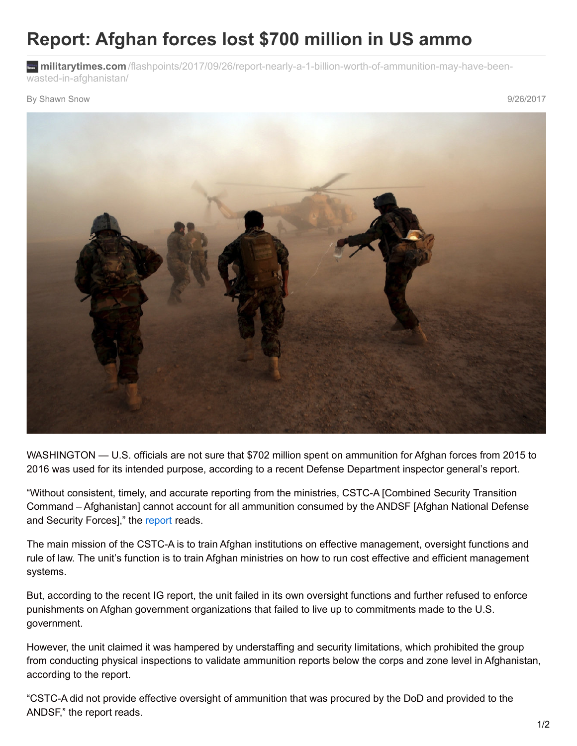## **Report: Afghan forces lost \$700 million in US ammo**

**militarytimes.com** [/flashpoints/2017/09/26/report-nearly-a-1-billion-worth-of-ammunition-may-have-been](https://www.militarytimes.com/flashpoints/2017/09/26/report-nearly-a-1-billion-worth-of-ammunition-may-have-been-wasted-in-afghanistan/?utm_source=Sailthru&utm_medium=email&utm_campaign=EBB 09.27.2017&utm_term=Editorial - Early Bird Brief)wasted-in-afghanistan/

By Shawn Snow 9/26/2017



WASHINGTON — U.S. officials are not sure that \$702 million spent on ammunition for Afghan forces from 2015 to 2016 was used for its intended purpose, according to a recent Defense Department inspector general's report.

"Without consistent, timely, and accurate reporting from the ministries, CSTC-A [Combined Security Transition Command – Afghanistan] cannot account for all ammunition consumed by the ANDSF [Afghan National Defense and Security Forces]," the [report](http://www.dodig.mil/pubs/report_summary.cfm?id=7568) reads.

The main mission of the CSTC-A is to train Afghan institutions on effective management, oversight functions and rule of law. The unit's function is to train Afghan ministries on how to run cost effective and efficient management systems.

But, according to the recent IG report, the unit failed in its own oversight functions and further refused to enforce punishments on Afghan government organizations that failed to live up to commitments made to the U.S. government.

However, the unit claimed it was hampered by understaffing and security limitations, which prohibited the group from conducting physical inspections to validate ammunition reports below the corps and zone level in Afghanistan, according to the report.

"CSTC-A did not provide effective oversight of ammunition that was procured by the DoD and provided to the ANDSF," the report reads.